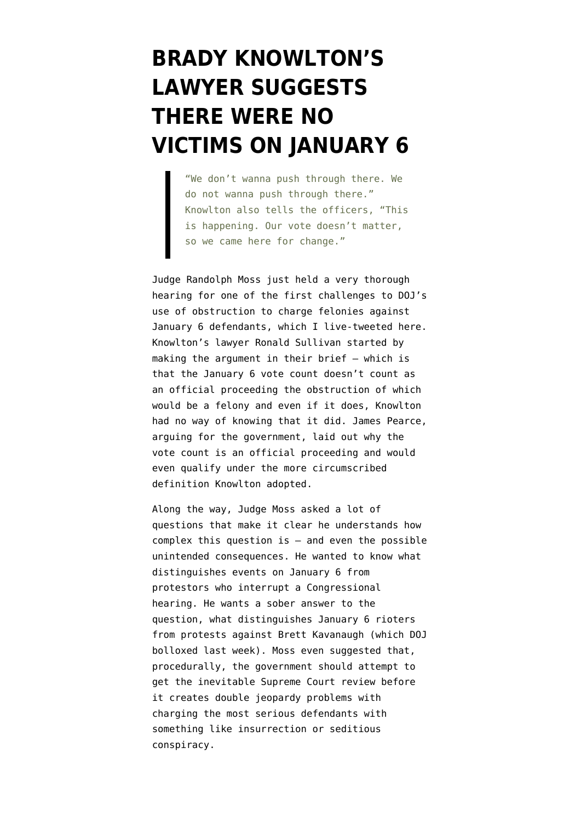## **[BRADY KNOWLTON'S](https://www.emptywheel.net/2021/08/03/brady-knowltons-lawyer-suggests-there-were-no-victims-on-january-6/) [LAWYER SUGGESTS](https://www.emptywheel.net/2021/08/03/brady-knowltons-lawyer-suggests-there-were-no-victims-on-january-6/) [THERE WERE NO](https://www.emptywheel.net/2021/08/03/brady-knowltons-lawyer-suggests-there-were-no-victims-on-january-6/) [VICTIMS ON JANUARY 6](https://www.emptywheel.net/2021/08/03/brady-knowltons-lawyer-suggests-there-were-no-victims-on-january-6/)**

"We don't wanna push through there. We do not wanna push through there." Knowlton also tells the officers, "This is happening. Our vote doesn't matter, so we came here for change."

Judge Randolph Moss just held a very thorough hearing for one of the first challenges to DOJ's use of obstruction to charge felonies against January 6 defendants, which [I live-tweeted here.](https://twitter.com/emptywheel/status/1422574792000016385) Knowlton's lawyer Ronald Sullivan started by making the argument in [their brief](https://storage.courtlistener.com/recap/gov.uscourts.dcd.230237/gov.uscourts.dcd.230237.39.1.pdf) — which is that the January 6 vote count doesn't count as an official proceeding the obstruction of which would be a felony and even if it does, Knowlton had no way of knowing that it did. James Pearce, [arguing for the government,](https://storage.courtlistener.com/recap/gov.uscourts.dcd.226820/gov.uscourts.dcd.226820.41.0.pdf) laid out why the vote count is an official proceeding and would even qualify under the more circumscribed definition Knowlton adopted.

Along the way, Judge Moss asked a lot of questions that make it clear he understands how complex this question is — and even the possible unintended consequences. He wanted to know what distinguishes events on January 6 from protestors who interrupt a Congressional hearing. He wants a sober answer to the question, what distinguishes January 6 rioters from protests against Brett Kavanaugh (which [DOJ](https://www.emptywheel.net/2021/07/31/the-government-screws-up-attempt-to-distinguish-between-january-6-insurrection-and-anti-kavanaugh-protests/) [bolloxed last week\)](https://www.emptywheel.net/2021/07/31/the-government-screws-up-attempt-to-distinguish-between-january-6-insurrection-and-anti-kavanaugh-protests/). Moss even suggested that, procedurally, the government should attempt to get the inevitable Supreme Court review before it creates double jeopardy problems with charging the most serious defendants with something like insurrection or seditious conspiracy.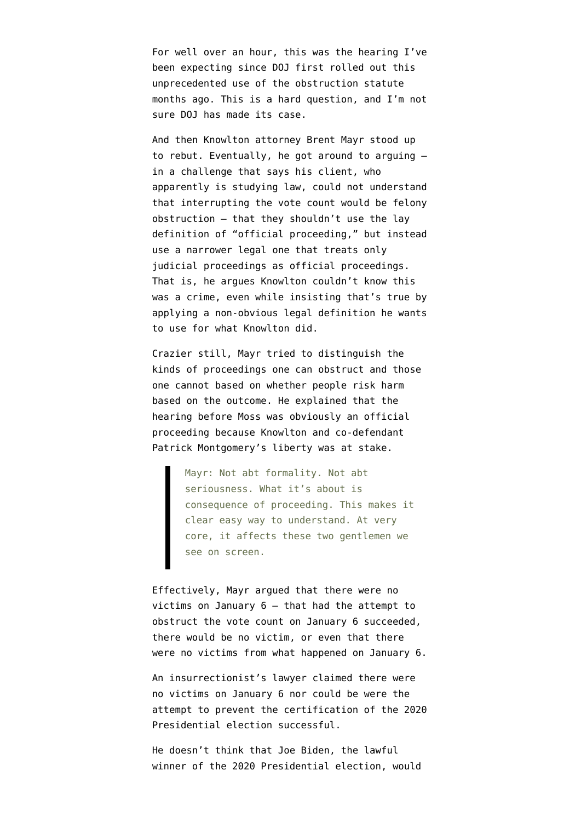For well over an hour, this was the hearing I've been expecting since DOJ first rolled out this unprecedented use of the obstruction statute months ago. This is a hard question, and I'm not sure DOJ has made its case.

And then Knowlton attorney Brent Mayr stood up to rebut. Eventually, he got around to arguing in a challenge that says his client, who apparently is studying law, could not understand that interrupting the vote count would be felony obstruction — that they shouldn't use the lay definition of "official proceeding," but instead use a narrower legal one that treats only judicial proceedings as official proceedings. That is, he argues Knowlton couldn't know this was a crime, even while insisting that's true by applying a non-obvious legal definition he wants to use for what Knowlton did.

Crazier still, Mayr tried to distinguish the kinds of proceedings one can obstruct and those one cannot based on whether people risk harm based on the outcome. He [explained](https://twitter.com/emptywheel/status/1422596518624833541) that the hearing before Moss was obviously an official proceeding because Knowlton and co-defendant Patrick Montgomery's liberty was at stake.

Mayr: Not abt formality. Not abt seriousness. What it's about is consequence of proceeding. This makes it clear easy way to understand. At very core, it affects these two gentlemen we see on screen.

Effectively, Mayr argued that there were no victims on January 6 — that had the attempt to obstruct the vote count on January 6 succeeded, there would be no victim, or even that there were no victims from what happened on January 6.

An insurrectionist's lawyer claimed there were no victims on January 6 nor could be were the attempt to prevent the certification of the 2020 Presidential election successful.

He doesn't think that Joe Biden, the lawful winner of the 2020 Presidential election, would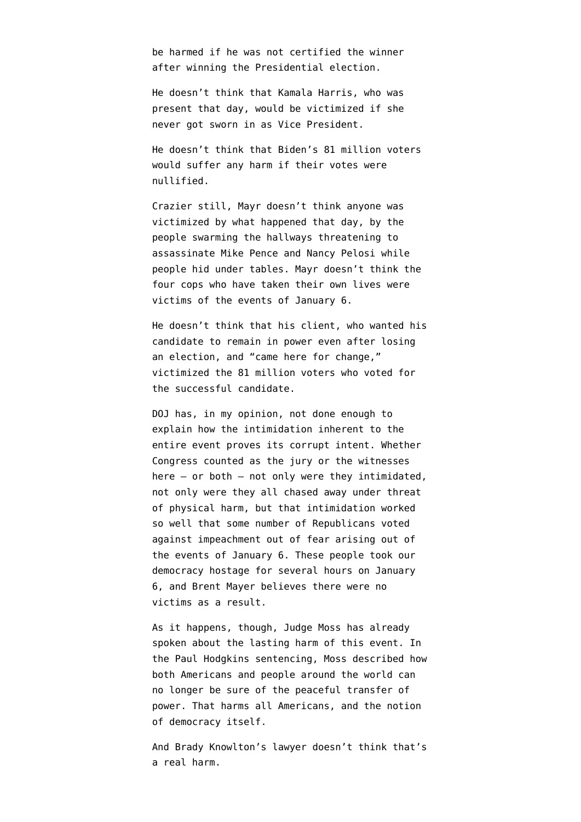be harmed if he was not certified the winner after winning the Presidential election.

He doesn't think that Kamala Harris, who was present that day, would be victimized if she never got sworn in as Vice President.

He doesn't think that Biden's 81 million voters would suffer any harm if their votes were nullified.

Crazier still, Mayr doesn't think anyone was victimized by what happened that day, by the people swarming the hallways threatening to assassinate Mike Pence and Nancy Pelosi while people hid under tables. Mayr doesn't think the four cops who have taken their own lives were victims of the events of January 6.

He doesn't think that his client, who wanted his candidate to remain in power even after losing an election, and "came here for change," victimized the 81 million voters who voted for the successful candidate.

DOJ has, in my opinion, not done enough to explain how the intimidation inherent to the entire event proves its corrupt intent. Whether Congress counted as the jury or the witnesses here — or both — not only were they intimidated, not only were they all chased away under threat of physical harm, but that intimidation worked so well that some number of Republicans voted against impeachment out of fear arising out of the events of January 6. These people took our democracy hostage for several hours on January 6, and Brent Mayer believes there were no victims as a result.

As it happens, though, Judge Moss has already spoken about the lasting harm of this event. In the Paul Hodgkins sentencing, Moss described how both Americans and people around the world can no longer be sure of the peaceful transfer of power. That harms all Americans, and the notion of democracy itself.

And Brady Knowlton's lawyer doesn't think that's a real harm.